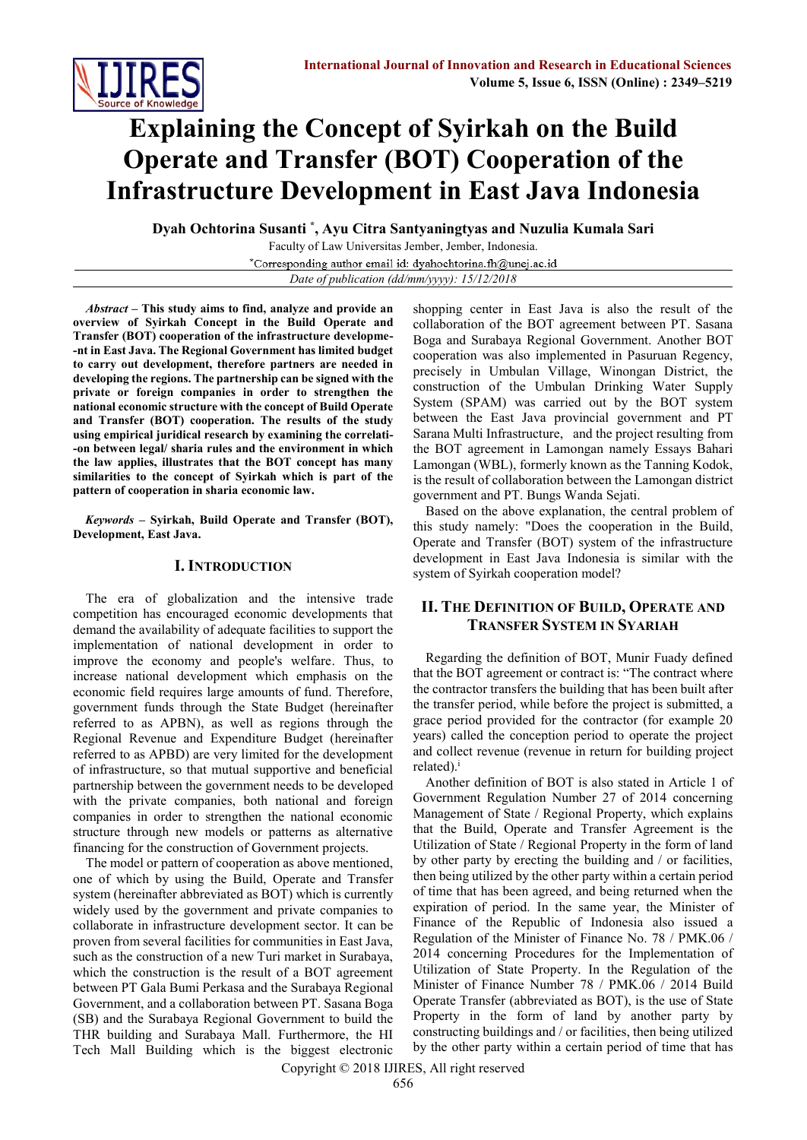

# **Explaining the Concept of Syirkah on the Build Operate and Transfer (BOT) Cooperation of the Infrastructure Development in East Java Indonesia**

**Dyah Ochtorina Susanti \* , Ayu Citra Santyaningtyas and Nuzulia Kumala Sari**

Faculty of Law Universitas Jember, Jember, Indonesia. \*Corresponding author email id: dyahochtorina.fh@unej.ac.id *Date of publication (dd/mm/yyyy): 15/12/2018*

*Abstract* **– This study aims to find, analyze and provide an overview of Syirkah Concept in the Build Operate and Transfer (BOT) cooperation of the infrastructure developme- -nt in East Java. The Regional Government has limited budget to carry out development, therefore partners are needed in developing the regions. The partnership can be signed with the private or foreign companies in order to strengthen the national economic structure with the concept of Build Operate and Transfer (BOT) cooperation. The results of the study using empirical juridical research by examining the correlati- -on between legal/ sharia rules and the environment in which the law applies, illustrates that the BOT concept has many similarities to the concept of Syirkah which is part of the pattern of cooperation in sharia economic law.**

*Keywords* **– Syirkah, Build Operate and Transfer (BOT), Development, East Java.**

### **I. INTRODUCTION**

The era of globalization and the intensive trade competition has encouraged economic developments that demand the availability of adequate facilities to support the implementation of national development in order to improve the economy and people's welfare. Thus, to increase national development which emphasis on the economic field requires large amounts of fund. Therefore, government funds through the State Budget (hereinafter referred to as APBN), as well as regions through the Regional Revenue and Expenditure Budget (hereinafter referred to as APBD) are very limited for the development of infrastructure, so that mutual supportive and beneficial partnership between the government needs to be developed with the private companies, both national and foreign companies in order to strengthen the national economic structure through new models or patterns as alternative financing for the construction of Government projects.

The model or pattern of cooperation as above mentioned, one of which by using the Build, Operate and Transfer system (hereinafter abbreviated as BOT) which is currently widely used by the government and private companies to collaborate in infrastructure development sector. It can be proven from several facilities for communities in East Java, such as the construction of a new Turi market in Surabaya, which the construction is the result of a BOT agreement between PT Gala Bumi Perkasa and the Surabaya Regional Government, and a collaboration between PT. Sasana Boga (SB) and the Surabaya Regional Government to build the THR building and Surabaya Mall. Furthermore, the HI Tech Mall Building which is the biggest electronic

shopping center in East Java is also the result of the collaboration of the BOT agreement between PT. Sasana Boga and Surabaya Regional Government. Another BOT cooperation was also implemented in Pasuruan Regency, precisely in Umbulan Village, Winongan District, the construction of the Umbulan Drinking Water Supply System (SPAM) was carried out by the BOT system between the East Java provincial government and PT Sarana Multi Infrastructure, and the project resulting from the BOT agreement in Lamongan namely Essays Bahari Lamongan (WBL), formerly known as the Tanning Kodok, is the result of collaboration between the Lamongan district government and PT. Bungs Wanda Sejati.

Based on the above explanation, the central problem of this study namely: "Does the cooperation in the Build, Operate and Transfer (BOT) system of the infrastructure development in East Java Indonesia is similar with the system of Syirkah cooperation model?

# **II. THE DEFINITION OF BUILD, OPERATE AND TRANSFER SYSTEM IN SYARIAH**

Regarding the definition of BOT, Munir Fuady defined that the BOT agreement or contract is: "The contract where the contractor transfers the building that has been built after the transfer period, while before the project is submitted, a grace period provided for the contractor (for example 20 years) called the conception period to operate the project and collect revenue (revenue in return for building project  $related$ ).<sup>i</sup>

Another definition of BOT is also stated in Article 1 of Government Regulation Number 27 of 2014 concerning Management of State / Regional Property, which explains that the Build, Operate and Transfer Agreement is the Utilization of State / Regional Property in the form of land by other party by erecting the building and / or facilities, then being utilized by the other party within a certain period of time that has been agreed, and being returned when the expiration of period. In the same year, the Minister of Finance of the Republic of Indonesia also issued a Regulation of the Minister of Finance No. 78 / PMK.06 / 2014 concerning Procedures for the Implementation of Utilization of State Property. In the Regulation of the Minister of Finance Number 78 / PMK.06 / 2014 Build Operate Transfer (abbreviated as BOT), is the use of State Property in the form of land by another party by constructing buildings and / or facilities, then being utilized by the other party within a certain period of time that has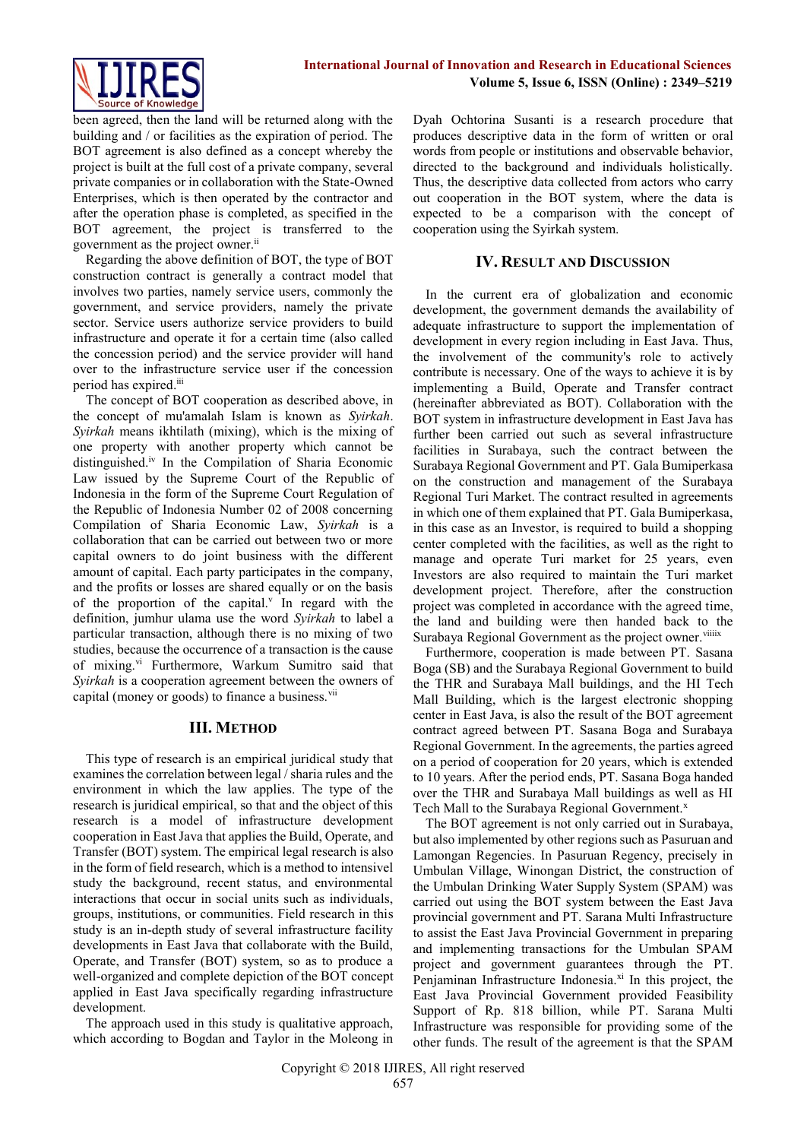

been agreed, then the land will be returned along with the building and / or facilities as the expiration of period. The BOT agreement is also defined as a concept whereby the project is built at the full cost of a private company, several private companies or in collaboration with the State-Owned Enterprises, which is then operated by the contractor and after the operation phase is completed, as specified in the BOT agreement, the project is transferred to the government as the project owner.ii

Regarding the above definition of BOT, the type of BOT construction contract is generally a contract model that involves two parties, namely service users, commonly the government, and service providers, namely the private sector. Service users authorize service providers to build infrastructure and operate it for a certain time (also called the concession period) and the service provider will hand over to the infrastructure service user if the concession period has expired.<sup>iii</sup>

The concept of BOT cooperation as described above, in the concept of mu'amalah Islam is known as *Syirkah*. *Syirkah* means ikhtilath (mixing), which is the mixing of one property with another property which cannot be distinguished.iv In the Compilation of Sharia Economic Law issued by the Supreme Court of the Republic of Indonesia in the form of the Supreme Court Regulation of the Republic of Indonesia Number 02 of 2008 concerning Compilation of Sharia Economic Law, *Syirkah* is a collaboration that can be carried out between two or more capital owners to do joint business with the different amount of capital. Each party participates in the company, and the profits or losses are shared equally or on the basis of the proportion of the capital. $v$  In regard with the definition, jumhur ulama use the word *Syirkah* to label a particular transaction, although there is no mixing of two studies, because the occurrence of a transaction is the cause of mixing.<sup>vi</sup> Furthermore, Warkum Sumitro said that *Syirkah* is a cooperation agreement between the owners of capital (money or goods) to finance a business.<sup>vii</sup>

#### **III. METHOD**

This type of research is an empirical juridical study that examines the correlation between legal / sharia rules and the environment in which the law applies. The type of the research is juridical empirical, so that and the object of this research is a model of infrastructure development cooperation in East Java that applies the Build, Operate, and Transfer (BOT) system. The empirical legal research is also in the form of field research, which is a method to intensivel study the background, recent status, and environmental interactions that occur in social units such as individuals, groups, institutions, or communities. Field research in this study is an in-depth study of several infrastructure facility developments in East Java that collaborate with the Build, Operate, and Transfer (BOT) system, so as to produce a well-organized and complete depiction of the BOT concept applied in East Java specifically regarding infrastructure development.

The approach used in this study is qualitative approach, which according to Bogdan and Taylor in the Moleong in Dyah Ochtorina Susanti is a research procedure that produces descriptive data in the form of written or oral words from people or institutions and observable behavior, directed to the background and individuals holistically. Thus, the descriptive data collected from actors who carry out cooperation in the BOT system, where the data is expected to be a comparison with the concept of cooperation using the Syirkah system.

## **IV. RESULT AND DISCUSSION**

In the current era of globalization and economic development, the government demands the availability of adequate infrastructure to support the implementation of development in every region including in East Java. Thus, the involvement of the community's role to actively contribute is necessary. One of the ways to achieve it is by implementing a Build, Operate and Transfer contract (hereinafter abbreviated as BOT). Collaboration with the BOT system in infrastructure development in East Java has further been carried out such as several infrastructure facilities in Surabaya, such the contract between the Surabaya Regional Government and PT. Gala Bumiperkasa on the construction and management of the Surabaya Regional Turi Market. The contract resulted in agreements in which one of them explained that PT. Gala Bumiperkasa, in this case as an Investor, is required to build a shopping center completed with the facilities, as well as the right to manage and operate Turi market for 25 years, even Investors are also required to maintain the Turi market development project. Therefore, after the construction project was completed in accordance with the agreed time, the land and building were then handed back to the Surabaya Regional Government as the project owner. viiix

Furthermore, cooperation is made between PT. Sasana Boga (SB) and the Surabaya Regional Government to build the THR and Surabaya Mall buildings, and the HI Tech Mall Building, which is the largest electronic shopping center in East Java, is also the result of the BOT agreement contract agreed between PT. Sasana Boga and Surabaya Regional Government. In the agreements, the parties agreed on a period of cooperation for 20 years, which is extended to 10 years. After the period ends, PT. Sasana Boga handed over the THR and Surabaya Mall buildings as well as HI Tech Mall to the Surabaya Regional Government.<sup>x</sup>

The BOT agreement is not only carried out in Surabaya, but also implemented by other regions such as Pasuruan and Lamongan Regencies. In Pasuruan Regency, precisely in Umbulan Village, Winongan District, the construction of the Umbulan Drinking Water Supply System (SPAM) was carried out using the BOT system between the East Java provincial government and PT. Sarana Multi Infrastructure to assist the East Java Provincial Government in preparing and implementing transactions for the Umbulan SPAM project and government guarantees through the PT. Penjaminan Infrastructure Indonesia. $x_i$  In this project, the East Java Provincial Government provided Feasibility Support of Rp. 818 billion, while PT. Sarana Multi Infrastructure was responsible for providing some of the other funds. The result of the agreement is that the SPAM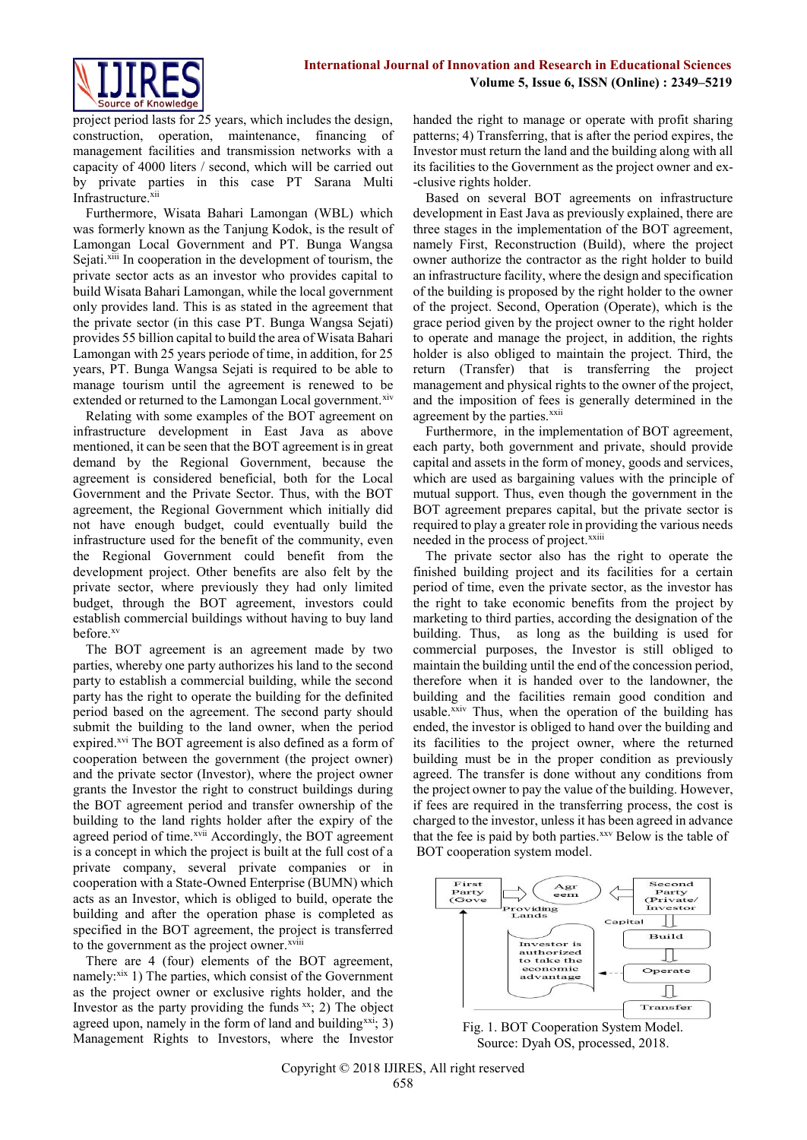

project period lasts for 25 years, which includes the design, construction, operation, maintenance, financing of management facilities and transmission networks with a capacity of 4000 liters / second, which will be carried out by private parties in this case PT Sarana Multi Infrastructure. xii

Furthermore, Wisata Bahari Lamongan (WBL) which was formerly known as the Tanjung Kodok, is the result of Lamongan Local Government and PT. Bunga Wangsa Sejati.<sup>xiii</sup> In cooperation in the development of tourism, the private sector acts as an investor who provides capital to build Wisata Bahari Lamongan, while the local government only provides land. This is as stated in the agreement that the private sector (in this case PT. Bunga Wangsa Sejati) provides 55 billion capital to build the area of Wisata Bahari Lamongan with 25 years periode of time, in addition, for 25 years, PT. Bunga Wangsa Sejati is required to be able to manage tourism until the agreement is renewed to be extended or returned to the Lamongan Local government.<sup>xiv</sup>

Relating with some examples of the BOT agreement on infrastructure development in East Java as above mentioned, it can be seen that the BOT agreement is in great demand by the Regional Government, because the agreement is considered beneficial, both for the Local Government and the Private Sector. Thus, with the BOT agreement, the Regional Government which initially did not have enough budget, could eventually build the infrastructure used for the benefit of the community, even the Regional Government could benefit from the development project. Other benefits are also felt by the private sector, where previously they had only limited budget, through the BOT agreement, investors could establish commercial buildings without having to buy land before.xv

The BOT agreement is an agreement made by two parties, whereby one party authorizes his land to the second party to establish a commercial building, while the second party has the right to operate the building for the definited period based on the agreement. The second party should submit the building to the land owner, when the period expired.<sup>xvi</sup> The BOT agreement is also defined as a form of cooperation between the government (the project owner) and the private sector (Investor), where the project owner grants the Investor the right to construct buildings during the BOT agreement period and transfer ownership of the building to the land rights holder after the expiry of the agreed period of time.xvii Accordingly, the BOT agreement is a concept in which the project is built at the full cost of a private company, several private companies or in cooperation with a State-Owned Enterprise (BUMN) which acts as an Investor, which is obliged to build, operate the building and after the operation phase is completed as specified in the BOT agreement, the project is transferred to the government as the project owner.<sup>xviii</sup>

There are 4 (four) elements of the BOT agreement, namely: $xix$  1) The parties, which consist of the Government as the project owner or exclusive rights holder, and the Investor as the party providing the funds  $x^2$ ; 2) The object agreed upon, namely in the form of land and building<sup>xxi</sup>; 3) Management Rights to Investors, where the Investor handed the right to manage or operate with profit sharing patterns; 4) Transferring, that is after the period expires, the Investor must return the land and the building along with all its facilities to the Government as the project owner and ex- -clusive rights holder.

Based on several BOT agreements on infrastructure development in East Java as previously explained, there are three stages in the implementation of the BOT agreement, namely First, Reconstruction (Build), where the project owner authorize the contractor as the right holder to build an infrastructure facility, where the design and specification of the building is proposed by the right holder to the owner of the project. Second, Operation (Operate), which is the grace period given by the project owner to the right holder to operate and manage the project, in addition, the rights holder is also obliged to maintain the project. Third, the return (Transfer) that is transferring the project management and physical rights to the owner of the project, and the imposition of fees is generally determined in the agreement by the parties.<sup>xxii</sup>

Furthermore, in the implementation of BOT agreement, each party, both government and private, should provide capital and assets in the form of money, goods and services, which are used as bargaining values with the principle of mutual support. Thus, even though the government in the BOT agreement prepares capital, but the private sector is required to play a greater role in providing the various needs needed in the process of project.<sup>xxiii</sup>

The private sector also has the right to operate the finished building project and its facilities for a certain period of time, even the private sector, as the investor has the right to take economic benefits from the project by marketing to third parties, according the designation of the building. Thus, as long as the building is used for commercial purposes, the Investor is still obliged to maintain the building until the end of the concession period, therefore when it is handed over to the landowner, the building and the facilities remain good condition and usable.<sup>xxiv</sup> Thus, when the operation of the building has ended, the investor is obliged to hand over the building and its facilities to the project owner, where the returned building must be in the proper condition as previously agreed. The transfer is done without any conditions from the project owner to pay the value of the building. However, if fees are required in the transferring process, the cost is charged to the investor, unless it has been agreed in advance that the fee is paid by both parties.<sup>xxv</sup> Below is the table of BOT cooperation system model.



Fig. 1. BOT Cooperation System Model. Source: Dyah OS, processed, 2018.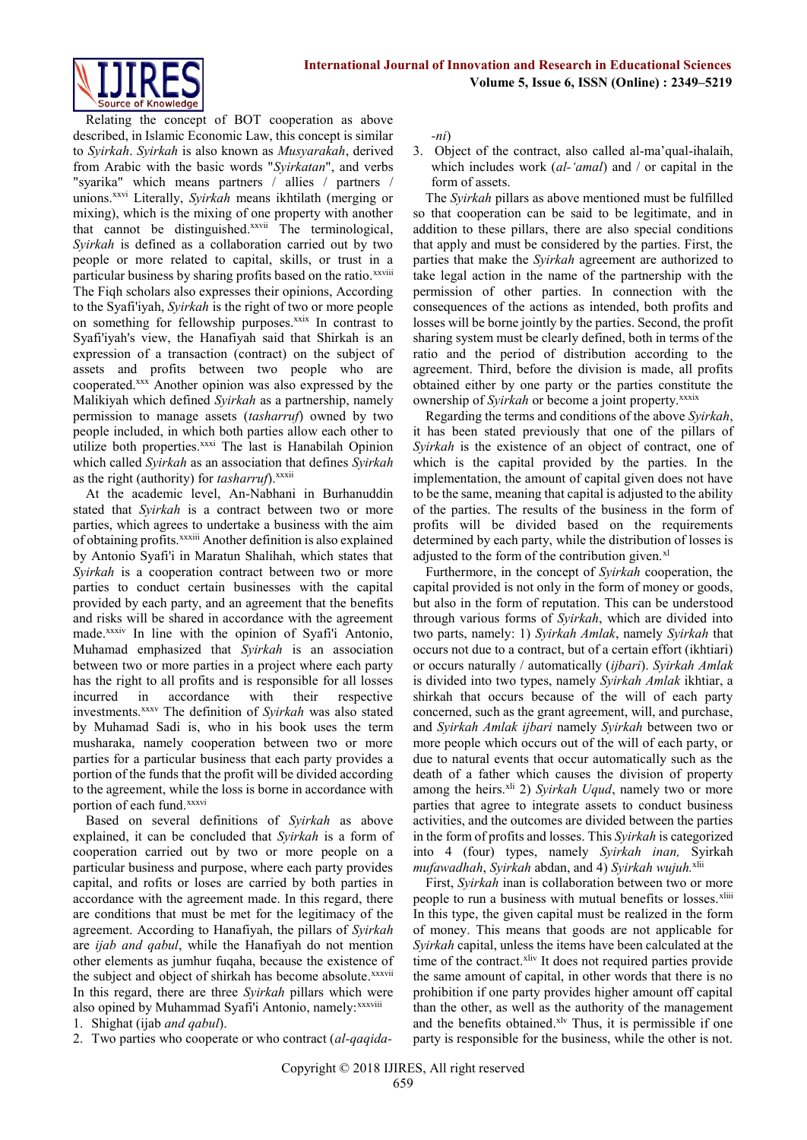

Relating the concept of BOT cooperation as above described, in Islamic Economic Law, this concept is similar to *Syirkah*. *Syirkah* is also known as *Musyarakah*, derived from Arabic with the basic words "*Syirkatan*", and verbs "syarika" which means partners / allies / partners / unions. xxvi Literally, *Syirkah* means ikhtilath (merging or mixing), which is the mixing of one property with another that cannot be distinguished.<sup>xxvii</sup> The terminological, *Syirkah* is defined as a collaboration carried out by two people or more related to capital, skills, or trust in a particular business by sharing profits based on the ratio.<sup>xxviii</sup> The Fiqh scholars also expresses their opinions, According to the Syafi'iyah, *Syirkah* is the right of two or more people on something for fellowship purposes.<sup>xxix</sup> In contrast to Syafi'iyah's view, the Hanafiyah said that Shirkah is an expression of a transaction (contract) on the subject of assets and profits between two people who are cooperated.xxx Another opinion was also expressed by the Malikiyah which defined *Syirkah* as a partnership, namely permission to manage assets (*tasharruf*) owned by two people included, in which both parties allow each other to utilize both properties.<sup>xxxi</sup> The last is Hanabilah Opinion which called *Syirkah* as an association that defines *Syirkah* as the right (authority) for *tasharruf*).<sup>xxxii</sup>

At the academic level, An-Nabhani in Burhanuddin stated that *Syirkah* is a contract between two or more parties, which agrees to undertake a business with the aim of obtaining profits.xxxiii Another definition is also explained by Antonio Syafi'i in Maratun Shalihah, which states that *Syirkah* is a cooperation contract between two or more parties to conduct certain businesses with the capital provided by each party, and an agreement that the benefits and risks will be shared in accordance with the agreement made.<sup>xxxiv</sup> In line with the opinion of Syafi'i Antonio, Muhamad emphasized that *Syirkah* is an association between two or more parties in a project where each party has the right to all profits and is responsible for all losses incurred in accordance with their respective investments. xxxv The definition of *Syirkah* was also stated by Muhamad Sadi is, who in his book uses the term musharaka, namely cooperation between two or more parties for a particular business that each party provides a portion of the funds that the profit will be divided according to the agreement, while the loss is borne in accordance with portion of each fund.<sup>xxxvi</sup>

Based on several definitions of *Syirkah* as above explained, it can be concluded that *Syirkah* is a form of cooperation carried out by two or more people on a particular business and purpose, where each party provides capital, and rofits or loses are carried by both parties in accordance with the agreement made. In this regard, there are conditions that must be met for the legitimacy of the agreement. According to Hanafiyah, the pillars of *Syirkah* are *ijab and qabul*, while the Hanafiyah do not mention other elements as jumhur fuqaha, because the existence of the subject and object of shirkah has become absolute. *xxxvii* In this regard, there are three *Syirkah* pillars which were also opined by Muhammad Syafi'i Antonio, namely: xxxviii

1. Shighat (ijab *and qabul*).

2. Two parties who cooperate or who contract (*al-qaqida-*

*-ni*)

3. Object of the contract, also called al-ma'qual-ihalaih, which includes work (*al-'amal*) and / or capital in the form of assets.

The *Syirkah* pillars as above mentioned must be fulfilled so that cooperation can be said to be legitimate, and in addition to these pillars, there are also special conditions that apply and must be considered by the parties. First, the parties that make the *Syirkah* agreement are authorized to take legal action in the name of the partnership with the permission of other parties. In connection with the consequences of the actions as intended, both profits and losses will be borne jointly by the parties. Second, the profit sharing system must be clearly defined, both in terms of the ratio and the period of distribution according to the agreement. Third, before the division is made, all profits obtained either by one party or the parties constitute the ownership of *Syirkah* or become a joint property.<sup>xxxix</sup>

Regarding the terms and conditions of the above *Syirkah*, it has been stated previously that one of the pillars of *Syirkah* is the existence of an object of contract, one of which is the capital provided by the parties. In the implementation, the amount of capital given does not have to be the same, meaning that capital is adjusted to the ability of the parties. The results of the business in the form of profits will be divided based on the requirements determined by each party, while the distribution of losses is adjusted to the form of the contribution given. $x<sup>1</sup>$ 

Furthermore, in the concept of *Syirkah* cooperation, the capital provided is not only in the form of money or goods, but also in the form of reputation. This can be understood through various forms of *Syirkah*, which are divided into two parts, namely: 1) *Syirkah Amlak*, namely *Syirkah* that occurs not due to a contract, but of a certain effort (ikhtiari) or occurs naturally / automatically (*ijbari*). *Syirkah Amlak* is divided into two types, namely *Syirkah Amlak* ikhtiar, a shirkah that occurs because of the will of each party concerned, such as the grant agreement, will, and purchase, and *Syirkah Amlak ijbari* namely *Syirkah* between two or more people which occurs out of the will of each party, or due to natural events that occur automatically such as the death of a father which causes the division of property among the heirs.<sup>xli</sup> 2) *Syirkah Uqud*, namely two or more parties that agree to integrate assets to conduct business activities, and the outcomes are divided between the parties in the form of profits and losses. This *Syirkah* is categorized into 4 (four) types, namely *Syirkah inan,* Syirkah *mufawadhah*, *Syirkah* abdan, and 4) *Syirkah wujuh.* xlii

First, *Syirkah* inan is collaboration between two or more people to run a business with mutual benefits or losses.<sup>xliii</sup> In this type, the given capital must be realized in the form of money. This means that goods are not applicable for *Syirkah* capital, unless the items have been calculated at the time of the contract.<sup>xliv</sup> It does not required parties provide the same amount of capital, in other words that there is no prohibition if one party provides higher amount off capital than the other, as well as the authority of the management and the benefits obtained.<sup>xlv</sup> Thus, it is permissible if one party is responsible for the business, while the other is not.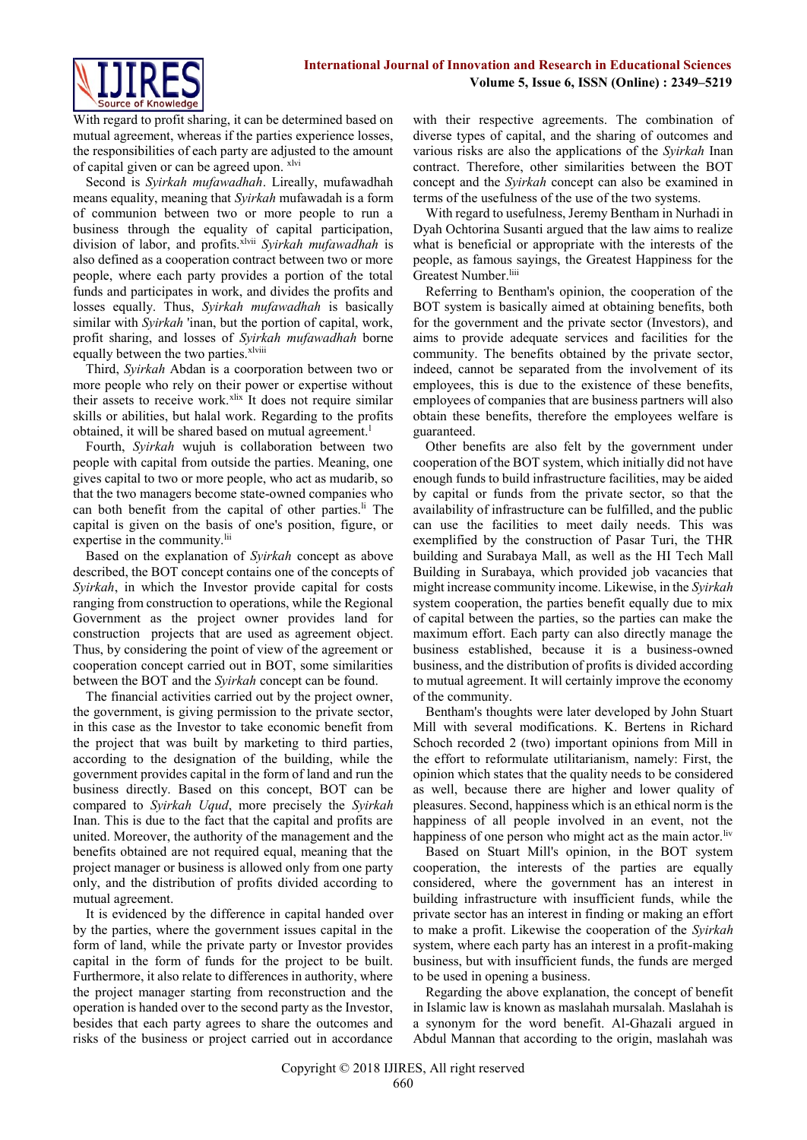

With regard to profit sharing, it can be determined based on mutual agreement, whereas if the parties experience losses, the responsibilities of each party are adjusted to the amount of capital given or can be agreed upon. xlvi

Second is *Syirkah mufawadhah*. Lireally, mufawadhah means equality, meaning that *Syirkah* mufawadah is a form of communion between two or more people to run a business through the equality of capital participation, division of labor, and profits.<sup>xlvii</sup> *Syirkah mufawadhah* is also defined as a cooperation contract between two or more people, where each party provides a portion of the total funds and participates in work, and divides the profits and losses equally. Thus, *Syirkah mufawadhah* is basically similar with *Syirkah* 'inan, but the portion of capital, work, profit sharing, and losses of *Syirkah mufawadhah* borne equally between the two parties.<sup>xlviii</sup>

Third, *Syirkah* Abdan is a coorporation between two or more people who rely on their power or expertise without their assets to receive work.<sup>xlix</sup> It does not require similar skills or abilities, but halal work. Regarding to the profits obtained, it will be shared based on mutual agreement.<sup>1</sup>

Fourth, *Syirkah* wujuh is collaboration between two people with capital from outside the parties. Meaning, one gives capital to two or more people, who act as mudarib, so that the two managers become state-owned companies who can both benefit from the capital of other parties.<sup>li</sup> The capital is given on the basis of one's position, figure, or expertise in the community.<sup>lii</sup>

Based on the explanation of *Syirkah* concept as above described, the BOT concept contains one of the concepts of *Syirkah*, in which the Investor provide capital for costs ranging from construction to operations, while the Regional Government as the project owner provides land for construction projects that are used as agreement object. Thus, by considering the point of view of the agreement or cooperation concept carried out in BOT, some similarities between the BOT and the *Syirkah* concept can be found.

The financial activities carried out by the project owner, the government, is giving permission to the private sector, in this case as the Investor to take economic benefit from the project that was built by marketing to third parties, according to the designation of the building, while the government provides capital in the form of land and run the business directly. Based on this concept, BOT can be compared to *Syirkah Uqud*, more precisely the *Syirkah* Inan. This is due to the fact that the capital and profits are united. Moreover, the authority of the management and the benefits obtained are not required equal, meaning that the project manager or business is allowed only from one party only, and the distribution of profits divided according to mutual agreement.

It is evidenced by the difference in capital handed over by the parties, where the government issues capital in the form of land, while the private party or Investor provides capital in the form of funds for the project to be built. Furthermore, it also relate to differences in authority, where the project manager starting from reconstruction and the operation is handed over to the second party as the Investor, besides that each party agrees to share the outcomes and risks of the business or project carried out in accordance with their respective agreements. The combination of diverse types of capital, and the sharing of outcomes and various risks are also the applications of the *Syirkah* Inan contract. Therefore, other similarities between the BOT concept and the *Syirkah* concept can also be examined in terms of the usefulness of the use of the two systems.

With regard to usefulness, Jeremy Bentham in Nurhadi in Dyah Ochtorina Susanti argued that the law aims to realize what is beneficial or appropriate with the interests of the people, as famous sayings, the Greatest Happiness for the Greatest Number.<sup>liii</sup>

Referring to Bentham's opinion, the cooperation of the BOT system is basically aimed at obtaining benefits, both for the government and the private sector (Investors), and aims to provide adequate services and facilities for the community. The benefits obtained by the private sector, indeed, cannot be separated from the involvement of its employees, this is due to the existence of these benefits, employees of companies that are business partners will also obtain these benefits, therefore the employees welfare is guaranteed.

Other benefits are also felt by the government under cooperation of the BOT system, which initially did not have enough funds to build infrastructure facilities, may be aided by capital or funds from the private sector, so that the availability of infrastructure can be fulfilled, and the public can use the facilities to meet daily needs. This was exemplified by the construction of Pasar Turi, the THR building and Surabaya Mall, as well as the HI Tech Mall Building in Surabaya, which provided job vacancies that might increase community income. Likewise, in the *Syirkah* system cooperation, the parties benefit equally due to mix of capital between the parties, so the parties can make the maximum effort. Each party can also directly manage the business established, because it is a business-owned business, and the distribution of profits is divided according to mutual agreement. It will certainly improve the economy of the community.

Bentham's thoughts were later developed by John Stuart Mill with several modifications. K. Bertens in Richard Schoch recorded 2 (two) important opinions from Mill in the effort to reformulate utilitarianism, namely: First, the opinion which states that the quality needs to be considered as well, because there are higher and lower quality of pleasures. Second, happiness which is an ethical norm is the happiness of all people involved in an event, not the happiness of one person who might act as the main actor.<sup>liv</sup>

Based on Stuart Mill's opinion, in the BOT system cooperation, the interests of the parties are equally considered, where the government has an interest in building infrastructure with insufficient funds, while the private sector has an interest in finding or making an effort to make a profit. Likewise the cooperation of the *Syirkah* system, where each party has an interest in a profit-making business, but with insufficient funds, the funds are merged to be used in opening a business.

Regarding the above explanation, the concept of benefit in Islamic law is known as maslahah mursalah. Maslahah is a synonym for the word benefit. Al-Ghazali argued in Abdul Mannan that according to the origin, maslahah was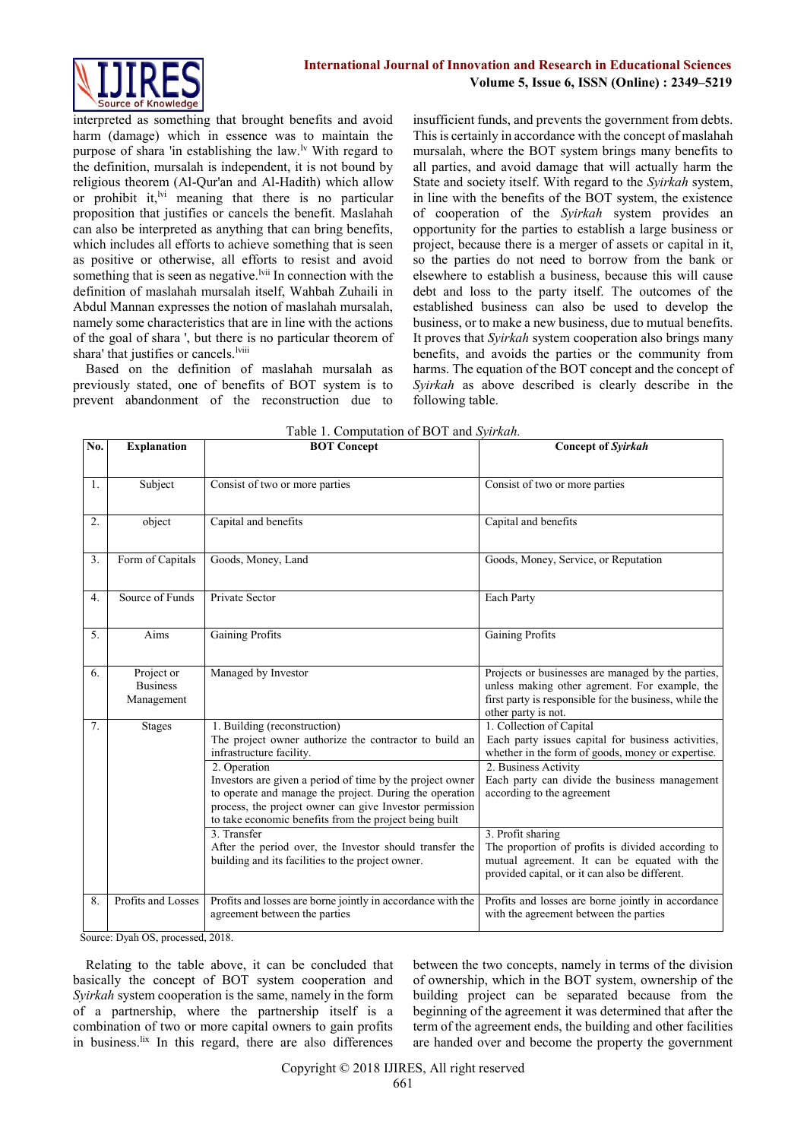

interpreted as something that brought benefits and avoid harm (damage) which in essence was to maintain the purpose of shara 'in establishing the law.<sup>1v</sup> With regard to the definition, mursalah is independent, it is not bound by religious theorem (Al-Qur'an and Al-Hadith) which allow or prohibit it, $\frac{1}{1}$  meaning that there is no particular proposition that justifies or cancels the benefit. Maslahah can also be interpreted as anything that can bring benefits, which includes all efforts to achieve something that is seen as positive or otherwise, all efforts to resist and avoid something that is seen as negative.<sup>lvii</sup> In connection with the definition of maslahah mursalah itself, Wahbah Zuhaili in Abdul Mannan expresses the notion of maslahah mursalah, namely some characteristics that are in line with the actions of the goal of shara ', but there is no particular theorem of shara' that justifies or cancels.<sup>Iviii</sup>

Based on the definition of maslahah mursalah as previously stated, one of benefits of BOT system is to prevent abandonment of the reconstruction due to

insufficient funds, and prevents the government from debts. This is certainly in accordance with the concept of maslahah mursalah, where the BOT system brings many benefits to all parties, and avoid damage that will actually harm the State and society itself. With regard to the *Syirkah* system, in line with the benefits of the BOT system, the existence of cooperation of the *Syirkah* system provides an opportunity for the parties to establish a large business or project, because there is a merger of assets or capital in it, so the parties do not need to borrow from the bank or elsewhere to establish a business, because this will cause debt and loss to the party itself. The outcomes of the established business can also be used to develop the business, or to make a new business, due to mutual benefits. It proves that *Syirkah* system cooperation also brings many benefits, and avoids the parties or the community from harms. The equation of the BOT concept and the concept of *Syirkah* as above described is clearly describe in the following table.

| No. | <b>Explanation</b>                          | <b>BOT Concept</b>                                                                                                                                                                                                                                                                                                                                                                             | <b>Concept of Syirkah</b><br>Consist of two or more parties                                                                                                                                                                                                     |  |  |
|-----|---------------------------------------------|------------------------------------------------------------------------------------------------------------------------------------------------------------------------------------------------------------------------------------------------------------------------------------------------------------------------------------------------------------------------------------------------|-----------------------------------------------------------------------------------------------------------------------------------------------------------------------------------------------------------------------------------------------------------------|--|--|
| 1.  | Subject                                     | Consist of two or more parties                                                                                                                                                                                                                                                                                                                                                                 |                                                                                                                                                                                                                                                                 |  |  |
| 2.  | object                                      | Capital and benefits                                                                                                                                                                                                                                                                                                                                                                           | Capital and benefits                                                                                                                                                                                                                                            |  |  |
| 3.  | Form of Capitals                            | Goods, Money, Land                                                                                                                                                                                                                                                                                                                                                                             | Goods, Money, Service, or Reputation                                                                                                                                                                                                                            |  |  |
| 4.  | Source of Funds                             | Private Sector                                                                                                                                                                                                                                                                                                                                                                                 | Each Party                                                                                                                                                                                                                                                      |  |  |
| 5.  | Aims                                        | <b>Gaining Profits</b>                                                                                                                                                                                                                                                                                                                                                                         | Gaining Profits                                                                                                                                                                                                                                                 |  |  |
| 6.  | Project or<br><b>Business</b><br>Management | Managed by Investor                                                                                                                                                                                                                                                                                                                                                                            | Projects or businesses are managed by the parties,<br>unless making other agrement. For example, the<br>first party is responsible for the business, while the<br>other party is not.                                                                           |  |  |
| 7.  | <b>Stages</b>                               | 1. Building (reconstruction)<br>The project owner authorize the contractor to build an<br>infrastructure facility.<br>2. Operation<br>Investors are given a period of time by the project owner<br>to operate and manage the project. During the operation<br>process, the project owner can give Investor permission<br>to take economic benefits from the project being built<br>3. Transfer | 1. Collection of Capital<br>Each party issues capital for business activities,<br>whether in the form of goods, money or expertise.<br>2. Business Activity<br>Each party can divide the business management<br>according to the agreement<br>3. Profit sharing |  |  |
|     |                                             | After the period over, the Investor should transfer the<br>building and its facilities to the project owner.                                                                                                                                                                                                                                                                                   | The proportion of profits is divided according to<br>mutual agreement. It can be equated with the<br>provided capital, or it can also be different.                                                                                                             |  |  |
| 8.  | Profits and Losses                          | Profits and losses are borne jointly in accordance with the<br>agreement between the parties                                                                                                                                                                                                                                                                                                   | Profits and losses are borne jointly in accordance<br>with the agreement between the parties                                                                                                                                                                    |  |  |

| Table 1. Computation of BOT and Syirkah. |  |  |
|------------------------------------------|--|--|
|                                          |  |  |

Source: Dyah OS, processed, 2018.

Relating to the table above, it can be concluded that basically the concept of BOT system cooperation and *Syirkah* system cooperation is the same, namely in the form of a partnership, where the partnership itself is a combination of two or more capital owners to gain profits in business. Ix In this regard, there are also differences between the two concepts, namely in terms of the division of ownership, which in the BOT system, ownership of the building project can be separated because from the beginning of the agreement it was determined that after the term of the agreement ends, the building and other facilities are handed over and become the property the government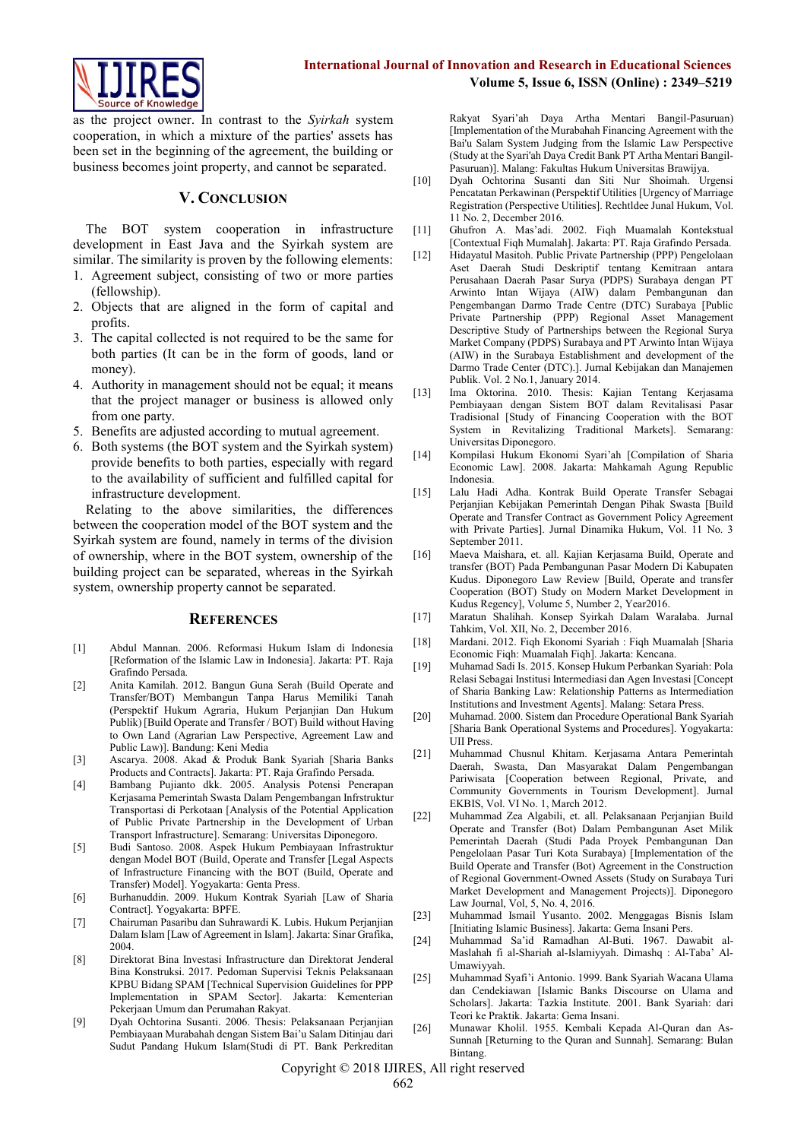

as the project owner. In contrast to the *Syirkah* system cooperation, in which a mixture of the parties' assets has been set in the beginning of the agreement, the building or business becomes joint property, and cannot be separated.

#### **V. CONCLUSION**

The BOT system cooperation in infrastructure development in East Java and the Syirkah system are similar. The similarity is proven by the following elements:

- 1. Agreement subject, consisting of two or more parties (fellowship).
- 2. Objects that are aligned in the form of capital and profits.
- 3. The capital collected is not required to be the same for both parties (It can be in the form of goods, land or money).
- 4. Authority in management should not be equal; it means that the project manager or business is allowed only from one party.
- 5. Benefits are adjusted according to mutual agreement.
- 6. Both systems (the BOT system and the Syirkah system) provide benefits to both parties, especially with regard to the availability of sufficient and fulfilled capital for infrastructure development.

Relating to the above similarities, the differences between the cooperation model of the BOT system and the Syirkah system are found, namely in terms of the division of ownership, where in the BOT system, ownership of the building project can be separated, whereas in the Syirkah system, ownership property cannot be separated.

#### **REFERENCES**

- [1] Abdul Mannan. 2006. Reformasi Hukum Islam di Indonesia [Reformation of the Islamic Law in Indonesia]. Jakarta: PT. Raja Grafindo Persada.
- [2] Anita Kamilah. 2012. Bangun Guna Serah (Build Operate and Transfer/BOT) Membangun Tanpa Harus Memiliki Tanah (Perspektif Hukum Agraria, Hukum Perjanjian Dan Hukum Publik) [Build Operate and Transfer / BOT) Build without Having to Own Land (Agrarian Law Perspective, Agreement Law and Public Law)]. Bandung: Keni Media
- [3] Ascarya. 2008. Akad & Produk Bank Syariah [Sharia Banks Products and Contracts]. Jakarta: PT. Raja Grafindo Persada.
- [4] Bambang Pujianto dkk. 2005. Analysis Potensi Penerapan Kerjasama Pemerintah Swasta Dalam Pengembangan Infrstruktur Transportasi di Perkotaan [Analysis of the Potential Application of Public Private Partnership in the Development of Urban Transport Infrastructure]. Semarang: Universitas Diponegoro.
- [5] Budi Santoso. 2008. Aspek Hukum Pembiayaan Infrastruktur dengan Model BOT (Build, Operate and Transfer [Legal Aspects of Infrastructure Financing with the BOT (Build, Operate and Transfer) Model]. Yogyakarta: Genta Press.
- [6] Burhanuddin. 2009. Hukum Kontrak Syariah [Law of Sharia Contract]. Yogyakarta: BPFE.
- [7] Chairuman Pasaribu dan Suhrawardi K. Lubis. Hukum Perjanjian Dalam Islam [Law of Agreement in Islam]. Jakarta: Sinar Grafika, 2004.
- [8] Direktorat Bina Investasi Infrastructure dan Direktorat Jenderal Bina Konstruksi. 2017. Pedoman Supervisi Teknis Pelaksanaan KPBU Bidang SPAM [Technical Supervision Guidelines for PPP Implementation in SPAM Sector]. Jakarta: Kementerian Pekerjaan Umum dan Perumahan Rakyat.
- [9] Dyah Ochtorina Susanti. 2006. Thesis: Pelaksanaan Perjanjian Pembiayaan Murabahah dengan Sistem Bai'u Salam Ditinjau dari Sudut Pandang Hukum Islam(Studi di PT. Bank Perkreditan

Rakyat Syari'ah Daya Artha Mentari Bangil-Pasuruan) [Implementation of the Murabahah Financing Agreement with the Bai'u Salam System Judging from the Islamic Law Perspective (Study at the Syari'ah Daya Credit Bank PT Artha Mentari Bangil-Pasuruan)]. Malang: Fakultas Hukum Universitas Brawijya.

- [10] Dyah Ochtorina Susanti dan Siti Nur Shoimah. Urgensi Pencatatan Perkawinan (Perspektif Utilities [Urgency of Marriage Registration (Perspective Utilities]. Rechtldee Junal Hukum, Vol. 11 No. 2, December 2016.
- [11] Ghufron A. Mas'adi. 2002. Fiqh Muamalah Kontekstual [Contextual Fiqh Mumalah]. Jakarta: PT. Raja Grafindo Persada.
- [12] Hidayatul Masitoh. Public Private Partnership (PPP) Pengelolaan Aset Daerah Studi Deskriptif tentang Kemitraan antara Perusahaan Daerah Pasar Surya (PDPS) Surabaya dengan PT Arwinto Intan Wijaya (AIW) dalam Pembangunan dan Pengembangan Darmo Trade Centre (DTC) Surabaya [Public Private Partnership (PPP) Regional Asset Management Descriptive Study of Partnerships between the Regional Surya Market Company (PDPS) Surabaya and PT Arwinto Intan Wijaya (AIW) in the Surabaya Establishment and development of the Darmo Trade Center (DTC).]. Jurnal Kebijakan dan Manajemen Publik. Vol. 2 No.1, January 2014.
- [13] Ima Oktorina. 2010. Thesis: Kajian Tentang Kerjasama Pembiayaan dengan Sistem BOT dalam Revitalisasi Pasar Tradisional [Study of Financing Cooperation with the BOT System in Revitalizing Traditional Markets]. Semarang: Universitas Diponegoro.
- [14] Kompilasi Hukum Ekonomi Syari'ah [Compilation of Sharia Economic Law]. 2008. Jakarta: Mahkamah Agung Republic Indonesia.
- [15] Lalu Hadi Adha. Kontrak Build Operate Transfer Sebagai Perjanjian Kebijakan Pemerintah Dengan Pihak Swasta [Build Operate and Transfer Contract as Government Policy Agreement with Private Parties]. Jurnal Dinamika Hukum, Vol. 11 No. 3 September 2011.
- [16] Maeva Maishara, et. all. Kajian Kerjasama Build, Operate and transfer (BOT) Pada Pembangunan Pasar Modern Di Kabupaten Kudus. Diponegoro Law Review [Build, Operate and transfer Cooperation (BOT) Study on Modern Market Development in Kudus Regency], Volume 5, Number 2, Year2016.
- [17] Maratun Shalihah. Konsep Syirkah Dalam Waralaba. Jurnal Tahkim, Vol. XII, No. 2, December 2016.
- [18] Mardani. 2012. Fiqh Ekonomi Syariah : Fiqh Muamalah [Sharia Economic Fiqh: Muamalah Fiqh]. Jakarta: Kencana.
- [19] Muhamad Sadi Is. 2015. Konsep Hukum Perbankan Syariah: Pola Relasi Sebagai Institusi Intermediasi dan Agen Investasi [Concept of Sharia Banking Law: Relationship Patterns as Intermediation Institutions and Investment Agents]. Malang: Setara Press.
- [20] Muhamad. 2000. Sistem dan Procedure Operational Bank Syariah [Sharia Bank Operational Systems and Procedures]. Yogyakarta: UII Press.
- [21] Muhammad Chusnul Khitam. Kerjasama Antara Pemerintah Daerah, Swasta, Dan Masyarakat Dalam Pengembangan Pariwisata [Cooperation between Regional, Private, and Community Governments in Tourism Development]. Jurnal EKBIS, Vol. VI No. 1, March 2012.
- [22] Muhammad Zea Algabili, et. all. Pelaksanaan Perjanjian Build Operate and Transfer (Bot) Dalam Pembangunan Aset Milik Pemerintah Daerah (Studi Pada Proyek Pembangunan Dan Pengelolaan Pasar Turi Kota Surabaya) [Implementation of the Build Operate and Transfer (Bot) Agreement in the Construction of Regional Government-Owned Assets (Study on Surabaya Turi Market Development and Management Projects)]. Diponegoro Law Journal, Vol, 5, No. 4, 2016.
- [23] Muhammad Ismail Yusanto. 2002. Menggagas Bisnis Islam [Initiating Islamic Business]. Jakarta: Gema Insani Pers.
- [24] Muhammad Sa'id Ramadhan Al-Buti. 1967. Dawabit al-Maslahah fi al-Shariah al-Islamiyyah. Dimashq : Al-Taba' Al-Umawiyyah.
- [25] Muhammad Syafi'i Antonio. 1999. Bank Syariah Wacana Ulama dan Cendekiawan [Islamic Banks Discourse on Ulama and Scholars]. Jakarta: Tazkia Institute. 2001. Bank Syariah: dari Teori ke Praktik. Jakarta: Gema Insani.
- [26] Munawar Kholil. 1955. Kembali Kepada Al-Quran dan As-Sunnah [Returning to the Quran and Sunnah]. Semarang: Bulan Bintang.

Copyright © 2018 IJIRES, All right reserved